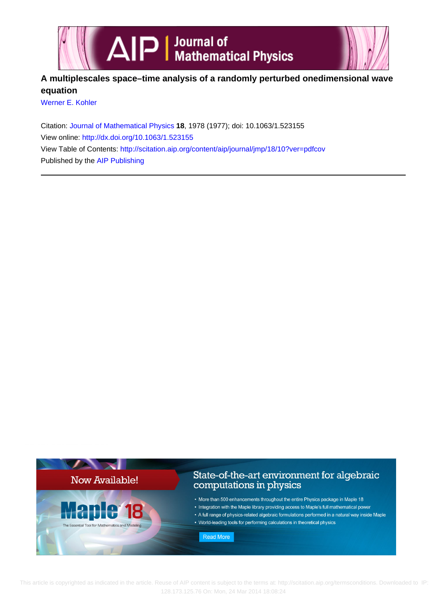

## **A multiplescales space–time analysis of a randomly perturbed onedimensional wave equation**

[Werner E. Kohler](http://scitation.aip.org/search?value1=Werner+E.+Kohler&option1=author)

Citation: [Journal of Mathematical Physics](http://scitation.aip.org/content/aip/journal/jmp?ver=pdfcov) **18**, 1978 (1977); doi: 10.1063/1.523155 View online: <http://dx.doi.org/10.1063/1.523155> View Table of Contents: <http://scitation.aip.org/content/aip/journal/jmp/18/10?ver=pdfcov> Published by the [AIP Publishing](http://scitation.aip.org/content/aip?ver=pdfcov)



This article is copyrighted as indicated in the article. Reuse of AIP content is subject to the terms at: http://scitation.aip.org/termsconditions. Downloaded to IP: 128.173.125.76 On: Mon, 24 Mar 2014 18:08:24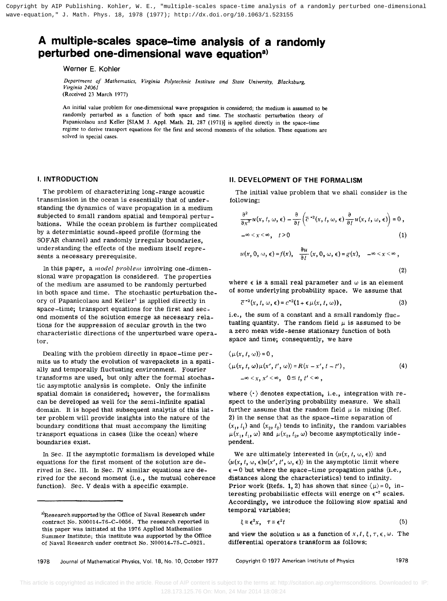# **A multiple-scales space-time analysis of a randomly**  perturbed one-dimensional wave equation<sup>a)</sup>

Werner E. Kohler

*Department of Mathematics, Virginia Polytechnic Institute and State University, Blacksburg, Virginia 24061*  (Received 23 March 1977)

An initial value problem for one-dimensional wave propagation is considered; the medium is assumed to be randomly perturbed as a function of both space and time. The stochastic perturbation theory of Papanicolaou and Keller [SIAM J. Appl. Math. 21, 287 (1971)] is applied directly in the space-time regime to derive transport equations for the first and second moments of the solution. These equations are solved in special cases.

#### **I. INTRODUCTION**

The problem of characterizing long-range acoustic transmission in the ocean is essentially that of understanding the dynamics of wave propagation in a medium subjected to small random spatial and temporal perturbations. While the ocean problem is further complicated by a deterministic sound-speed profile (forming the SOF AR channel) and randomly irregular boundaries, understanding the effects of the medium itself represents a necessary prerequisite.

In this paper, a *model problem* involving one-dimensional wave propagation is considered. The properties of the medium are assumed to be randomly perturbed in both space and time. The stochastic perturbation theory of Papanicolaou and Keller<sup>1</sup> is applied directly in space-time; transport equations for the first and second moments of the solution emerge as necessary relations for the suppression of secular growth in the two characteristic directions of the unperturbed wave operator.

Dealing with the problem directly in space-time permits us to study the evolution of wavepackets in a spatially and temporally fluctuating environment. Fourier transforms are used, but only after the formal stochastic asymptotic analysis is complete. Only the infinite spatial domain is considered; however, the formalism can be developed as well for the semi-infinite spatial domain. It is hoped that subsequent analytis of this latter problem will provide insights into the nature of the boundary conditions that must accompany the limiting transport equations in cases (like the ocean) where boundaries exist. **A nulle college to the control one-dimensional control of a randomly perturbed one-dimensional control of a randomly perturbed one-dimensional control of a randomly perturbed one-dimensional control of a randomly perturb** 

In Sec. II the asymptotic formalism is developed while equations for the first moment of the solution are derived in Sec. III. In Sec. IV similar equations are derived for the second moment (i.e., the mutual coherence function). Sec. V deals with a specific example.

#### **II. DEVELOPMENT OF THE FORMALISM**

The initial value problem that we shall consider is the following:

$$
\frac{\partial^2}{\partial x^2} u(x, t, \omega, \epsilon) - \frac{\partial}{\partial t} \left( \overline{c}^{-2}(x, t, \omega, \epsilon) \frac{\partial}{\partial t} u(x, t, \omega, \epsilon) \right) = 0,
$$
  

$$
-\infty < x < \infty, \quad t > 0
$$
 (1)

$$
u(x, 0, \omega, \epsilon) = f(x), \quad \frac{\partial u}{\partial t}(x, 0, \omega, \epsilon) = g(x), \quad -\infty < x < \infty \tag{2}
$$

where  $\epsilon$  is a small real parameter and  $\omega$  is an element of some underlying probability space. We assume that

$$
\overline{c}^{-2}(x, t, \omega, \epsilon) = c^{-2}(1 + \epsilon \mu(x, t, \omega)), \qquad (3)
$$

i.e., the sum of a constant and a small randomly fluctuating quantity. The random field  $\mu$  is assumed to be a zero mean wide-sense stationary function of both space and time; consequently, we have

$$
\langle \mu(x, t, \omega) \rangle = 0,
$$
  
\n
$$
\langle \mu(x, t, \omega) \mu(x', t', \omega) \rangle = R(x - x', t - t'),
$$
  
\n
$$
-\infty < x, x' < \infty, 0 \le t, t' < \infty,
$$
 (4)

where  $\langle \cdot \rangle$  denotes expectation, i.e., integration with respect to the underlying probability measure. We shall further assume that the random field  $\mu$  is mixing (Ref. 2) in the sense that as the space-time separation of  $(x_1, t_1)$  and  $(x_2, t_2)$  tends to infinity, the random variables  $\mu(x_1, t_1, \omega)$  and  $\mu(x_2, t_2, \omega)$  become asymptotically independent.

We are ultimately interested in  $\langle u(x, t, \omega, \epsilon) \rangle$  and  $\langle u(x, t, \omega, \epsilon)u(x', t', \omega, \epsilon) \rangle$  in the asymptotic limit where  $\epsilon \to 0$  but where the space-time propagation paths (i.e., distances along the characteristics) tend to infinity. Prior work (Refs. 1, 2) has shown that since  $\langle \mu \rangle = 0$ , interesting probabilistic effects will energe on  $\epsilon^{-2}$  scales. Accordingly, we introduce the following slow spatial and temporal variables:

$$
\xi \equiv \epsilon^2 x, \quad \tau \equiv \epsilon^2 t \tag{5}
$$

and view the solution *u* as a function of  $x, t, \xi, \tau, \epsilon, \omega$ . The differential operators transform as follows:

1978 Journal of Mathematical Physics, Vol. 18, No. 10, October 1977

Copyright © 1977 American Institute of Physics 1978

a)Research supported by the Office of Naval Research under contract No. NOOOI4-76-C-0056. The research reported in this paper was initiated at the 1976 Applied Mathematics Summer Institute; this institute was supported by the Office of Naval Research under contract No. NOOOI4-75-C-0921.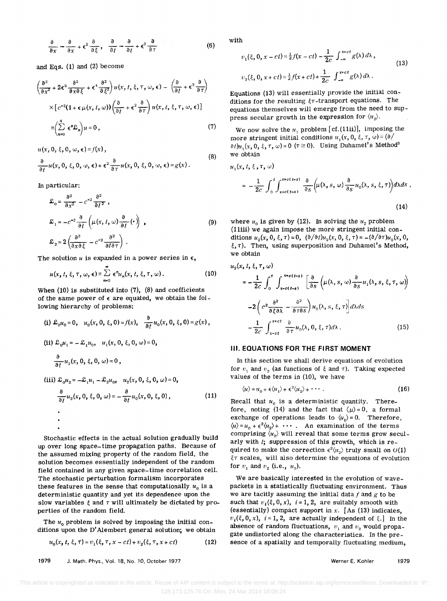$$
\frac{\partial}{\partial x} - \frac{\partial}{\partial x} + \epsilon^2 \frac{\partial}{\partial \xi}, \quad \frac{\partial}{\partial t} - \frac{\partial}{\partial t} + \epsilon^2 \frac{\partial}{\partial \tau}
$$
(6)

and Eqs. (1) and (2) become

$$
\left(\frac{\partial^2}{\partial x^2} + 2\epsilon^2 \frac{\partial^2}{\partial x \partial \xi} + \epsilon^4 \frac{\partial^2}{\partial \xi^2}\right) u(x, t, \xi, \tau, \omega, \epsilon) - \left(\frac{\partial}{\partial t} + \epsilon^2 \frac{\partial}{\partial \tau}\right)
$$

$$
\times \left[c^{-2}(1 + \epsilon \mu(x, t, \omega))\left(\frac{\partial}{\partial t} + \epsilon^2 \frac{\partial}{\partial \tau}\right) u(x, t, \xi, \tau, \omega, \epsilon)\right]
$$

$$
\equiv \left(\sum_{n=0}^4 \epsilon^n \mathcal{L}_n\right) u = 0, \tag{7}
$$

 $u(x, 0, \xi, 0, \omega, \epsilon) = f(x)$ ,

(8)  
\n
$$
\frac{\partial}{\partial t} u(x, 0, \xi, 0, \omega, \epsilon) + \epsilon^2 \frac{\partial}{\partial \tau} u(x, 0, \xi, 0, \omega, \epsilon) = g(x).
$$

In particular:

$$
\mathcal{L}_0 = \frac{\partial^2}{\partial x^2} - c^{-2} \frac{\partial^2}{\partial t^2} ,
$$
\n
$$
\mathcal{L}_1 = -c^{-2} \frac{\partial}{\partial t} \left( \mu(x, t, \omega) \frac{\partial}{\partial t} (\cdot) \right) ,
$$
\n
$$
\mathcal{L}_2 = 2 \left( \frac{\partial^2}{\partial x \partial \xi} - c^{-2} \frac{\partial^2}{\partial t \partial \tau} \right) .
$$
\n(9)

The solution u is expanded in a power series in  $\epsilon$ ,

$$
u(x, t, \xi, \tau, \omega, \epsilon) \equiv \sum_{n=0}^{\infty} \epsilon^n u_n(x, t, \xi, \tau, \omega).
$$
 (10)

When  $(10)$  is substituted into  $(7)$ ,  $(8)$  and coefficients of the same power of  $\epsilon$  are equated, we obtain the following hierarchy of problems:

(i) 
$$
\mathcal{L}_0 u_0 = 0
$$
,  $u_0(x, 0, \xi, 0) = f(x)$ ,  $\frac{\partial}{\partial t} u_0(x, 0, \xi, 0) = g(x)$ ,  
\n(ii)  $\mathcal{L}_0 u_1 = -\mathcal{L}_1 u_0$ ,  $u_1(x, 0, \xi, 0, \omega) = 0$ ,  
\n $\frac{\partial}{\partial t} u_1(x, 0, \xi, 0, \omega) = 0$ ,  
\n(iii)  $\mathcal{L}_0 u_2 = -\mathcal{L}_1 u_1 - \mathcal{L}_2 u_0$ ,  $u_2(x, 0, \xi, 0, \omega) = 0$ ,  
\n $\frac{\partial}{\partial t} u_2(x, 0, \xi, 0, \omega) = -\frac{\partial}{\partial t} u_0(x, 0, \xi, 0)$ , (11)

Stochastic effects in the actual solution gradually build up over long space-time propagation paths. Because of the assumed mixing property of the random field, the solution becomes essentially independent of the random field contained in any given space-time correlation cell. The stochastic perturbation formalism incorporates these features in the sense that computationally  $u_0$  is a deterministic quantity and yet its dependence upon the slow variables  $\xi$  and  $\tau$  will ultimately be dictated by properties of the random field.

The  $u_0$  problem is solved by imposing the initial conditions upon the D' Alembert general solution; we obtain

$$
u_0(x, t, \xi, \tau) = v_1(\xi, \tau, x - ct) + v_2(\xi, \tau, x + ct)
$$
 (12)

1979 J. Math. Phys., Vol. 18, No. 10, October 1977

with

$$
v_1(\xi, 0, x - ct) = \frac{1}{2}f(x - ct) - \frac{1}{2c} \int_{-\infty}^{x - ct} g(\lambda) d\lambda,
$$
  
\n
$$
v_2(\xi, 0, x + ct) = \frac{1}{2}f(x + ct) + \frac{1}{2c} \int_{-\infty}^{x + ct} g(\lambda) d\lambda.
$$
 (13)

Equations (13) will essentially provide the initial conditions for the resulting  $\xi\tau$ -transport equations. The equations themselves will emerge from the need to suppress secular growth in the expression for  $\langle u_{\gamma} \rangle$ .

We now solve the  $u_1$  problem [cf. (11ii)], imposing the more stringent initial conditions  $u_1(x, 0, \xi, \tau, \omega) = (\partial x)^T$  $\partial t/u_1(x, 0, \xi, \tau, \omega) = 0$  ( $\tau \ge 0$ ). Using Duhamel's Method<sup>3</sup> we obtain

$$
u_1(x, t, \xi, \tau, \omega)
$$
  
= 
$$
-\frac{1}{2c} \int_0^t \int_{x-c(t-s)}^{x+c(t-s)} \frac{\partial}{\partial s} \left( \mu(\lambda, s, \omega) \frac{\partial}{\partial s} u_0(\lambda, s, \xi, \tau) \right) d\lambda ds ,
$$
 (14)

where  $u_0$  is given by (12). In solving the  $u_2$  problem (lliii) we again impose the more stringent initial conditions  $u_2(x, 0, \xi, \tau) = 0$ ,  $(\partial/\partial t)u_2(x, 0, \xi, \tau) = -(\partial/\partial \tau)u_0(x, 0, \xi, \tau)$  $\xi, \tau$ ). Then, using superposition and Duhamel's Method, we obtain

$$
u_2(x, t, \xi, \tau, \omega)
$$
  
=  $-\frac{1}{2c} \int_0^{\tau} \int_{x-c(t-s)}^{x+c(t-s)} \left[ \frac{\partial}{\partial s} \left( \mu(\lambda, s, \omega) \frac{\partial}{\partial s} u_1(\lambda, s, \xi, \tau, \omega) \right) \right]$   
 $-2 \left( c^2 \frac{\partial^2}{\partial \xi \partial \lambda} - \frac{\partial^2}{\partial \tau \partial s} \right) u_0(\lambda, s, \xi, \tau) \right] d\lambda ds$   
 $- \frac{1}{2c} \int_{x-ct}^{x+ct} \frac{\partial}{\partial \tau} u_0(\lambda, 0, \xi, \tau) d\lambda.$  (15)

#### **III. EQUATIONS FOR THE FIRST MOMENT**

In this section we shall derive equations of evolution for  $v_1$  and  $v_2$  (as functions of  $\xi$  and  $\tau$ ). Taking expected values of the terms in (10), we have

$$
\langle u \rangle = u_0 + \epsilon \langle u_1 \rangle + \epsilon^2 \langle u_2 \rangle + \cdots \tag{16}
$$

Recall that  $u_0$  is a deterministic quantity. Therefore, noting (14) and the fact that  $\langle \mu \rangle = 0$ , a formal exchange of operations leads to  $\langle u_1 \rangle = 0$ . Therefore,  $\langle u \rangle = u_0 + \epsilon^2 \langle u_2 \rangle + \cdots$ . An examination of the terms comprising  $\langle u_2 \rangle$  will reveal that some terms grow secularly with  $t$ ; suppression of this growth, which is required to make the correction  $\epsilon^2 \langle u_2 \rangle$  truly small on  $O(1)$  $\xi\tau$  scales, will also determine the equations of evolution for  $v_1$  and  $v_2$  (i.e.,  $u_0$ ).

We are basically interested in the evolution of wavepackets in a statistically fluctuating environment. Thus we are tacitly assuming the initial data  $f$  and  $g$  to be such that  $v_i(\xi, 0, x)$ ,  $i = 1, 2$ , are suitably smooth with (essentially) compact support in *x.* [As (13) indicates,  $v_i(\xi, 0, x)$ , i=1,2, are actually independent of  $\xi$ . In the absence of random fluctuations,  $v_1$  and  $v_2$  would propagate undistorted along the characteristics. In the presence of a spatially and temporally fluctuating medium,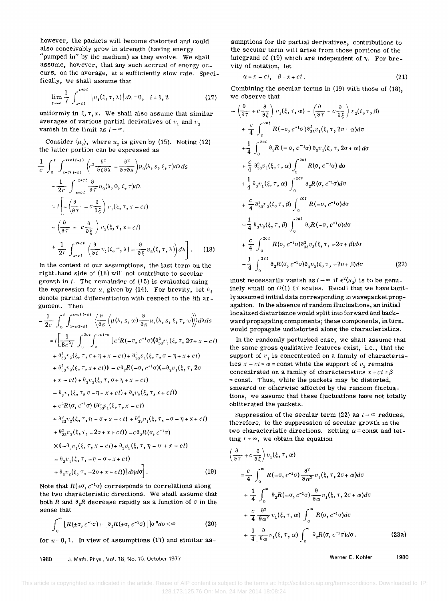however, the packets will become distorted and could also conceivably grow in strength (having energy "pumped in" by the medium) as they evolve. We shall assume, however, that any such accrual of energy occurs, on the average, at a sufficiently slow rate. Specifically, we shall assume that

$$
\lim_{t \to \infty} \frac{1}{t} \int_{x-ct}^{x+ct} |v_i(\xi, \tau, \lambda)| d\lambda = 0, \quad i = 1, 2
$$
 (17)

uniformly in  $\xi, \tau, x$ . We shall also assume that similar averages of various partial derivatives of  $v_1$  and  $v_2$ vanish in the limit as  $1 + \infty$ .

Consider  $\langle u_2 \rangle$ , where  $u_2$  is given by (15). Noting (12)

the latter portion can be expressed as  
\n
$$
\frac{1}{c} \int_0^t \int_{x-c(t+s)}^{x+c(t+s)} \left( c^2 \frac{\partial^2}{\partial \xi \partial \lambda} - \frac{\partial^2}{\partial \tau \partial s} \right) u_0(\lambda, s, \xi, \tau) d\lambda ds
$$
\n
$$
- \frac{1}{2c} \int_{x-ct}^{x+ct} \frac{\partial}{\partial \tau} u_0(\lambda, 0, \xi, \tau) d\lambda
$$
\n
$$
= i \left[ - \left( \frac{\partial}{\partial \tau} - c \frac{\partial}{\partial \xi} \right) v_1(\xi, \tau, x - ct) - \left( \frac{\partial}{\partial \tau} - c \frac{\partial}{\partial \xi} \right) v_2(\xi, \tau, x + ct) + \frac{1}{2t} \int_{x-ct}^{x+ct} \left( \frac{\partial}{\partial \xi} v_1(\xi, \tau, \lambda) - \frac{\partial}{\partial \xi} v_2(\xi, \tau, \lambda) \right) d\lambda \right].
$$
\n(18)

In the context of our assumptions, the last term on the right-hand side of (IS) will not contribute to secular growth in  $t$ . The remainder of (15) is evaluated using the expression for  $u_1$  given by (14). For brevity, let  $\partial_i$ denote partial differentiation with respect to the ith argument. Then the expression for  $u_1$  given by (14). For brevity, let  $\partial_i$ <br>denote partial differentiation with respect to the *i*th ar-<br>gument. Then<br> $-\frac{1}{2c} \int_0^t \int_{x-ct-s}^{x+ct(s)} \left\langle \frac{\partial}{\partial s} \left( \mu(\lambda, s, \omega) \frac{\partial}{\partial s} u_1(\lambda, s, \xi, \tau, \omega) \right)$ 

$$
-\frac{1}{2c} \int_0^t \int_{x-ct-s}^{x+ct+s} \left( \frac{\partial}{\partial s} \left( \mu(\lambda, s, \omega) \frac{\partial}{\partial s} u_1(\lambda, s, \xi, \tau, \omega) \right) d\lambda ds
$$
  
\n
$$
= t \left[ \frac{1}{8c^2 i} \int_0^{2ct-s} \left[ c^2 R(-\sigma, c^{-1}\sigma) (\partial_{33}^2 v_1(\xi, \tau, 2\sigma + x - ct) + \partial_{33}^2 v_2(\xi, \tau, \sigma + \eta + x - ct) + \partial_{33}^2 v_1(\xi, \tau, \sigma - \eta + x + ct) + \partial_{33}^2 v_2(\xi, \tau, x + ct) \right] - c \partial_2 R(-\sigma, c^{-1}\sigma) (-\partial_3 v_1(\xi, \tau, 2\sigma + x - ct) + \partial_3 v_2(\xi, \tau, \sigma + \eta + x - ct) - \partial_3 v_1(\xi, \tau, \sigma - \eta + x + ct) + \partial_3 v_2(\xi, \tau, x + ct) + c^2 R(\sigma, c^{-1}\sigma) (\partial_{33}^2 v_1(\xi, \tau, x - ct) + \partial_{33}^2 v_2(\xi, \tau, \eta - \sigma + \eta + x + ct) + \partial_{33}^2 v_1(\xi, \tau, -\sigma - \eta + x + ct) + \partial_{33}^2 v_2(\xi, \tau, -2\sigma + x + ct)) - c \partial_2 R(\sigma, c^{-1}\sigma) \times (-\partial_3 v_1(\xi, \tau, x - ct) + \partial_3 v_2(\xi, \tau, \eta - \sigma + x - ct) - \partial_3 v_1(\xi, \tau, -\eta - \sigma + x + ct) + \partial_3 v_2(\xi, \tau, \eta - \sigma + x + ct) + \partial_3 v_2(\xi, \tau, -2\sigma + x + ct) + \partial_3 v_2(\xi, \tau, -2\sigma + x + ct) + \partial_3 v_2(\xi, \tau, -2\sigma + x + ct) + \partial_3 v_2(\xi, \tau, -2\sigma + x + ct) + \partial_3 v_2(\xi, \tau, -2\sigma + x + ct) + \partial_3 v_2(\xi, \tau, -2\sigma + x + ct) + \partial_3 v_2(\xi, \tau, -2\sigma + x + ct) + \partial_3 v_2(\xi, \tau,
$$

Note that  $R(\pm\sigma, c^{-1}\sigma)$  corresponds to correlations along the two characteristic directions. We shall assume that both R and  $\partial_2 R$  decrease rapidly as a function of  $\sigma$  in the sense that

$$
\int_0^\infty \left[ R(\pm \sigma, c^{-1} \sigma) + \left| \partial_2 R(\pm \sigma, c^{-1} \sigma) \right| \right] \sigma^n d\sigma < \infty \tag{20}
$$

for  $n = 0, 1$ . In view of assumptions (17) and similar as-

1980 J. Math. Phys., Vol. 18. No. 10, October 1977

sumptions for the partial derivatives, contributions to the secular term will arise from those portions of the integrand of (19) which are independent of  $\eta$ . For brevity of notation, let

$$
\alpha = x - ct, \quad \beta = x + ct. \tag{21}
$$

Combining the secular terms in (19) with those of (18), we observe that

$$
\left(\frac{\partial}{\partial \tau} + c \frac{\partial}{\partial \xi}\right) v_1(\xi, \tau, \alpha) - \left(\frac{\partial}{\partial \tau} - c \frac{\partial}{\partial \xi}\right) v_2(\xi, \tau, \beta)
$$
  
+ 
$$
\frac{c}{4} \int_0^{2ct} R(-\sigma, c^{-1}\sigma) \partial_{33}^2 v_1(\xi, \tau, 2\sigma + \alpha) d\sigma
$$
  
+ 
$$
\frac{1}{4} \int_0^{2ct} \partial_2 R(-\sigma, c^{-1}\sigma) \partial_3 v_1(\xi, \tau, 2\sigma + \alpha) d\sigma
$$
  
+ 
$$
\frac{c}{4} \partial_{33}^2 v_1(\xi, \tau, \alpha) \int_0^{2ct} R(\sigma, c^{-1}\sigma) d\sigma
$$
  
+ 
$$
\frac{1}{4} \partial_3 v_1(\xi, \tau, \alpha) \int_0^{2ct} \partial_2 R(\sigma, c^{-1}\sigma) d\sigma
$$
  
+ 
$$
\frac{c}{4} \partial_{33}^2 v_2(\xi, \tau, \beta) \int_0^{2ct} R(-\sigma, c^{-1}\sigma) d\sigma
$$
  
- 
$$
\frac{1}{4} \partial_3 v_2(\xi, \tau, \beta) \int_0^{2ct} \partial_2 R(-\sigma, c^{-1}\sigma) d\sigma
$$
  
+ 
$$
\frac{c}{4} \int_0^{2ct} R(\sigma, c^{-1}\sigma) \partial_{33}^2 v_2(\xi, \tau, -2\sigma + \beta) d\sigma
$$
  
- 
$$
\frac{1}{4} \int_0^{2ct} \partial_2 R(\sigma, c^{-1}\sigma) \partial_3 v_2(\xi, \tau, -2\sigma + \beta) d\sigma
$$
(22)

must necessarily vanish as  $t \to \infty$  if  $\epsilon^2 \langle u_2 \rangle$  is to be genuinely small on  $O(1)$   $\xi \tau$  scales. Recall that we have tacitly assumed initial data corresponding to wavepacket propagation. In the absence of random fluctuations, an initial localized disturbance would split into forward and backward propagating components; these components, in turn, would propagate undistorted along the characteristics.

In the randomly perturbed case, we shall assume that the same gross qualitative features exist, i.e., that the support of  $v_i$  is concentrated on a family of characteristics  $x - ct = \alpha$  = const while the support of  $v<sub>2</sub>$  remains concentrated on a family of characteristics  $x + ct = \beta$ = const. Thus, while the packets may be distorted, smeared or otherwise affected by the random fluctuations, we assume that these fluctuations have not totally obliterated the packets.

Suppression of the secular term (22) as  $t \rightarrow \infty$  reduces, therefore, to the suppression of secular growth in the two characteristic directions. Setting  $\alpha \equiv$  const and letting  $t \rightarrow \infty$ , we obtain the equation

$$
\begin{split}\n&\left(\frac{\partial}{\partial \tau} + c \frac{\partial}{\partial \xi}\right) v_1(\xi, \tau, \alpha) \\
&= \frac{c}{4} \int_0^\infty R(-\sigma, c^{-1}\sigma) \frac{\partial^2}{\partial \alpha^2} v_1(\xi, \tau, 2\sigma + \alpha) d\sigma \\
&+ \frac{1}{4} \int_0^\infty \partial_2 R(-\sigma, c^{-1}\sigma) \frac{\partial}{\partial \alpha} v_1(\xi, \tau, 2\sigma + \alpha) d\sigma \\
&+ \frac{c}{4} \frac{\partial^2}{\partial \alpha^2} v_1(\xi, \tau, \alpha) \int_0^\infty R(\sigma, c^{-1}\sigma) d\sigma \\
&+ \frac{1}{4} \frac{\partial}{\partial \alpha} v_1(\xi, \tau, \alpha) \int_0^\infty \partial_2 R(\sigma, c^{-1}\sigma) d\sigma.\n\end{split}
$$
(23a)

Werner E. Kohler 1980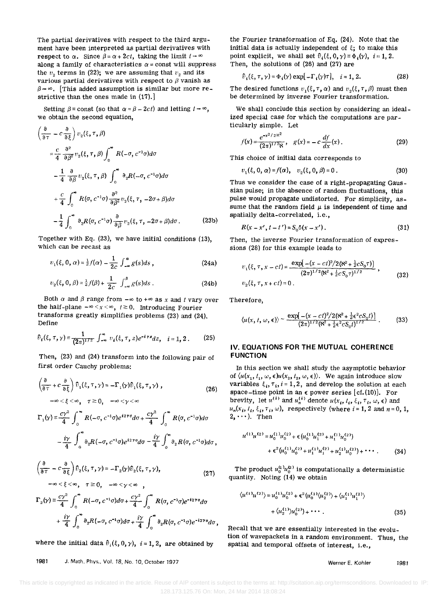The partial derivatives with respect to the third argument have been interpreted as partial derivatives with respect to  $\alpha$ . Since  $\beta = \alpha + 2ct$ , taking the limit  $t \rightarrow \infty$ along a family of characteristics  $\alpha$  = const will suppress the  $v<sub>2</sub>$  terms in (22); we are assuming that  $v<sub>2</sub>$  and its various partial derivatives with respect to  $\beta$  vanish as  $\beta \rightarrow \infty$ . [This added assumption is similar but more restrictive than the ones made in (17).]

Setting  $\beta$  = const (so that  $\alpha = \beta - 2ct$ ) and letting  $t \rightarrow \infty$ . we obtain the second equation,

$$
\left(\frac{\partial}{\partial \tau} - c \frac{\partial}{\partial \xi}\right) v_2(\xi, \tau, \beta)
$$
\n
$$
= \frac{c}{4} \frac{\partial^2}{\partial \beta^2} v_2(\xi, \tau, \beta) \int_0^\infty R(-\sigma, c^{-1}\sigma) d\sigma
$$
\n
$$
- \frac{1}{4} \frac{\partial}{\partial \beta} v_2(\xi, \tau, \beta) \int_0^\infty \partial_2 R(-\sigma, c^{-1}\sigma) d\sigma
$$
\n
$$
+ \frac{c}{4} \int_0^\infty R(\sigma, c^{-1}\sigma) \frac{\partial^2}{\partial \beta^2} v_2(\xi, \tau, -2\sigma + \beta) d\sigma
$$
\n
$$
- \frac{1}{4} \int_0^\infty \partial_2 R(\sigma, c^{-1}\sigma) \frac{\partial}{\partial \beta} v_2(\xi, \tau, -2\sigma + \beta) d\sigma. \tag{23b}
$$

Together with Eq. (23), we have initial conditions (13), which can be recast as

$$
v_1(\xi, 0, \alpha) = \frac{1}{2} f(\alpha) - \frac{1}{2c} \int_{-\infty}^{\alpha} g(s) ds,
$$
 (24a)

$$
v_2(\xi, 0, \beta) = \frac{1}{2} f(\beta) + \frac{1}{2c} \int_{-\infty}^{\beta} g(s) ds .
$$
 (24b)

Both  $\alpha$  and  $\beta$  range from  $-\infty$  to  $+\infty$  as *x* and *t* vary over the half-plane  $-\infty < x < \infty$ ,  $t \ge 0$ . Introducing Fourier transforms greatly simplifies problems  $(23)$  and  $(24)$ . Define

$$
\hat{v}_i(\xi,\tau,\gamma) \equiv \frac{1}{(2\pi)^{1/2}} \int_{-\infty}^{\infty} v_i(\xi,\tau,z) e^{-i\tau z} dz, \quad i = 1, 2. \tag{25}
$$

Then, (23) and (24) transform into the following pair of first order Cauchy problems:

$$
\left(\frac{\partial}{\partial \tau} + c \frac{\partial}{\partial \xi}\right) \hat{v}_1(\xi, \tau, \gamma) = -\Gamma_1(\gamma)\hat{v}_1(\xi, \tau, \gamma) ,
$$
\n
$$
-\infty < \xi < \infty, \quad \tau \ge 0, \quad -\infty < \gamma < \infty
$$
\n(26)

$$
\Gamma_1(\gamma) = \frac{c\gamma^2}{4} \int_0^\infty R(-\sigma, c^{-1}\sigma)e^{i2\gamma\sigma}d\sigma + \frac{c\gamma^2}{4} \int_0^\infty R(\sigma, c^{-1}\sigma)d\sigma
$$

$$
-\frac{i\gamma}{4} \int_0^\infty \partial_2 R(-\sigma, c^{-1}\sigma)e^{i2\gamma\sigma}d\sigma - \frac{i\gamma}{4} \int_0^\infty \partial_2 R(\sigma, c^{-1}\sigma)d\sigma,
$$

$$
\left(\frac{\partial}{\partial \tau} - c \frac{\partial}{\partial \xi}\right) \hat{v}_2(\xi, \tau, \gamma) = -\Gamma_2(\gamma) \hat{v}_2(\xi, \tau, \gamma),
$$
\n
$$
-\infty \le \xi \le \infty, \quad \tau \ge 0 \quad -\infty \le \gamma \le \infty \tag{27}
$$

$$
\Gamma_2(\gamma) \equiv \frac{c\gamma^2}{4} \int_0^\infty R(-\sigma, c^{-1}\sigma) d\sigma + \frac{c\gamma^2}{4} \int_0^\infty R(\sigma, c^{-1}\sigma) e^{-i2\gamma\sigma} d\sigma
$$

$$
+ \frac{i\gamma}{4} \int_0^\infty \partial_2 R(-\sigma, c^{-1}\sigma) d\sigma + \frac{i\gamma}{4} \int_0^\infty \partial_2 R(\sigma, c^{-1}\sigma) e^{-i2\gamma\sigma} d\sigma
$$

where the initial data  $\hat{v}_i(\xi, 0, \gamma)$ ,  $i = 1, 2$ , are obtained by

1981 J. Math. Phys., Vol. 18, No. 10, *October 1977* 

the Fourier transformation of Eq. (24). Note that the initial data is actually independent of  $\xi$ ; to make this point explicit, we shall set  $\hat{v}_i(\xi, 0, \gamma) \equiv \Phi_i(\gamma)$ ,  $i = 1, 2$ . Then, the solutions of (26) and (27) are

$$
\hat{v}_i(\xi, \tau, \gamma) = \Phi_i(\gamma) \exp[-\Gamma_i(\gamma)\tau], \quad i = 1, 2. \tag{28}
$$

The desired functions  $v_1(\xi, \tau, \alpha)$  and  $v_2(\xi, \tau, \beta)$  must then be determined by inverse Fourier transformation.

We shall conclude this section by considering an idealized special case for which the computations are particularly simple. Let

$$
f(x) = \frac{e^{-x^2/2K^2}}{(2\pi)^{1/2}K}, \quad g(x) = -c\frac{df}{dx}(x).
$$
 (29)

This choice of initial data corresponds to

$$
v_1(\xi, 0, \alpha) = f(\alpha), \quad v_2(\xi, 0, \beta) = 0.
$$
 (30)

Thus we consider the case of a right-propagating Gaussian pulse; in the absence of random fluctuations, this pulse would propagate undistorted. For simplicity, assume that the random field  $\mu$  is independent of time and spatially delta-correlated, i.e.,

$$
R(x - x', t - t') = S_0 \delta(x - x').
$$
 (31)

Then, the inverse Fourier transformation of expressions (28) for this example leads to

$$
v_1(\xi, \tau, x - ct) = \frac{\exp[-(x - ct)^2/2(\aleph^2 + \frac{1}{2}cS_0\tau)]}{(2\pi)^{1/2}(\aleph^2 + \frac{1}{2}cS_0\tau)^{1/2}},
$$
  
\n
$$
v_2(\xi, \tau, x + ct) = 0.
$$
 (32)

Therefore,

$$
\langle u(x, t, \omega, \epsilon) \rangle \sim \frac{\exp[-(x - ct)^2/2(\aleph^2 + \frac{1}{2} \epsilon^2 c S_0 t)]}{(2\pi)^{1/2} (\aleph^2 + \frac{1}{2} \epsilon^2 c S_0 t)^{1/2}}. \tag{33}
$$

### **IV. EQUATIONS FOR THE MUTUAL COHERENCE FUNCTION**

In this section we shall study the asymptotic behavior of  $\langle u(x_1, t_1, \omega, \epsilon) u(x_2, t_2, \omega, \epsilon) \rangle$ . We again introduce slow variables  $\xi_i, \tau_i, i = 1,2$ , and develop the solution at each space-time point in an  $\epsilon$  power series [cf.(10)]. For brevity, let  $u^{(1)}$  and  $u_n^{(1)}$  denote  $u(x_i, t_i, \xi_i, \tau_i, \omega, \epsilon)$  and  $u_n(x_i, t_i, \xi_i, \tau_i, \omega)$ , respectively (where  $i = 1, 2$  and  $n = 0, 1$ ,  $2, \cdots$ ). Then

$$
u^{(1)}u^{(2)} = u_0^{(1)}u_0^{(2)} + \epsilon (u_0^{(1)}u_1^{(2)} + u_1^{(1)}u_0^{(2)})
$$
  
+ 
$$
\epsilon^2 (u_0^{(1)}u_0^{(2)} + u_1^{(1)}u_1^{(2)} + u_2^{(1)}u_0^{(2)}) + \cdots
$$
 (34)

The product  $u_0^{(1)}u_0^{(2)}$  is computationally a deterministic quantity. Noting (14) we obtain

$$
\langle u^{(1)}u^{(2)}\rangle = u_0^{(1)}u_0^{(2)} + \epsilon^2 \langle u_0^{(1)}\langle u_2^{(2)}\rangle + \langle u_1^{(1)}u_1^{(2)}\rangle
$$
  
+  $\langle u_2^{(1)}\rangle u_0^{(2)}\rangle + \cdots$  (35)

Recall that we are essentially interested in the evolution of wavepackets in a random environment. Thus, the spatial and temporal offsets of interest, i.e.,

Werner E. Kohler 1981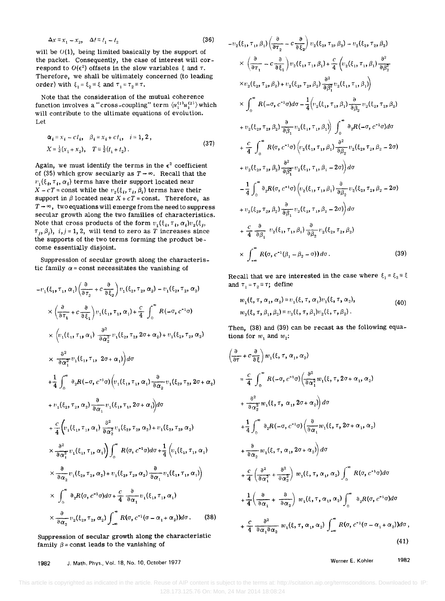$$
\Delta x \equiv x_1 - x_2, \quad \Delta t \equiv t_1 - t_2 \tag{36}
$$

 $-t$ 

will be  $O(1)$ , being limited basically by the support of the packet. Consequently, the case of interest will correspond to  $O(\epsilon^2)$  offsets in the slow variables  $\xi$  and  $\tau$ . Therefore, we shall be ultimately concerned (to leading order) with  $\xi_1 = \xi_2 \equiv \xi$  and  $\tau_1 = \tau_2 \equiv \tau$ .

Note that the consideration of the mutual coherence function involves a "cross-coupling" term  $\langle u_1^{(1)}u_1^{(2)}\rangle$  which will contribute to the ultimate equations of evolution. Let

$$
\alpha_{i} = x_{i} - ct_{i}, \quad \beta_{i} = x_{i} + ct_{i}, \quad i = 1, 2,
$$
  
\n
$$
X = \frac{1}{2}(x_{1} + x_{2}), \quad T = \frac{1}{2}(t_{1} + t_{2}).
$$
\n(37)

Again, we must identify the terms in the  $\epsilon^2$  coefficient of (35) which grow secularly as  $T \rightarrow \infty$ . Recall that the  $v_1(\xi_t, \tau_t, \alpha_t)$  terms have their support located near  $X - cT = \text{const}$  while the  $v_2(\xi_i, \tau_i, \beta_i)$  terms have their support in  $\beta$  located near  $X + cT = \text{const.}$  Therefore, as  $T \rightarrow \infty$ , two equations will emerge from the need to suppress secular growth along the two families of characteristics. Note that cross products of the form  $v_1(\xi_i, \tau_i, \alpha_i)v_2(\xi_j,$  $\tau_j$ ,  $\beta_j$ ),  $i, j = 1, 2$ , will tend to zero as *T* increases since the supports of the two terms forming the product become essentially disjoint.

Suppression of secular growth along the characteristic family  $\alpha$  = const necessitates the vanishing of

$$
-v_1(\xi_1, \tau_1, \alpha_1) \left(\frac{\partial}{\partial \tau_2} + c \frac{\partial}{\partial \xi_2}\right) v_1(\xi_2, \tau_2, \alpha_2) - v_1(\xi_2, \tau_2, \alpha_2)
$$
  
\n
$$
\times \left(\frac{\partial}{\partial \tau_1} + c \frac{\partial}{\partial \xi_1}\right) v_1(\xi_1, \tau_1, \alpha_1) + \frac{c}{4} \int_0^\infty R(-\sigma, c^{-1}\sigma)
$$
  
\n
$$
\times \left(v_1(\xi_1, \tau_1, \alpha_1) \frac{\partial^2}{\partial \alpha_2^2} v_1(\xi_2, \tau_2, 2\sigma + \alpha_2) + v_1(\xi_2, \tau_2, \alpha_2)\right)
$$
  
\n
$$
\times \frac{\partial^2}{\partial \alpha_1^2} v_1(\xi_1, \tau_1, 2\sigma + \alpha_1)\right) d\sigma
$$
  
\n
$$
+ \frac{1}{4} \int_0^\infty \partial_2 R(-\sigma, c^{-1}\sigma) \left(v_1(\xi_1, \tau_1, \alpha_1) \frac{\partial}{\partial \alpha_2} v_1(\xi_2, \tau_2, 2\sigma + \alpha_2)\right)
$$
  
\n
$$
+ v_1(\xi_2, \tau_2, \alpha_2) \frac{\partial}{\partial \alpha_1} v_1(\xi_1, \tau_1, 2\sigma + \alpha_1)\right) d\sigma
$$
  
\n
$$
+ \frac{c}{4} \left(v_1(\xi_1, \tau_1, \alpha_1) \frac{\partial^2}{\partial \alpha_2^2} v_1(\xi_2, \tau_2, \alpha_2) + v_1(\xi_2, \tau_2, \alpha_2)\right)
$$
  
\n
$$
\times \frac{\partial^2}{\partial \alpha_2^2} v_1(\xi_1, \tau_1, \alpha_1)\right) \int_0^\infty R(\sigma, c^{-1}\sigma) d\sigma + \frac{1}{4} \left(v_1(\xi_1, \tau_1, \alpha_1)\right)
$$
  
\n
$$
\times \int_0^\infty \partial_2 R(\sigma, c^{-1}\sigma) d\sigma + \frac{c}{4} \frac{\partial}{\partial \alpha_1} v_1(\xi_1, \tau_1, \alpha_1)
$$

Suppression of secular growth along the characteristic family  $\beta$  = const leads to the vanishing of

$$
v_{2}(\xi_{1}, \tau_{1}, \beta_{1}) \left( \frac{\partial}{\partial \tau_{2}} - c \frac{\partial}{\partial \xi_{2}} \right) v_{2}(\xi_{2}, \tau_{2}, \beta_{2}) - v_{2}(\xi_{2}, \tau_{2}, \beta_{2})
$$
  
\n
$$
\times \left( \frac{\partial}{\partial \tau_{1}} - c \frac{\partial}{\partial \xi_{1}} \right) v_{2}(\xi_{1}, \tau_{1}, \beta_{1}) + \frac{c}{4} \left( v_{2}(\xi_{1}, \tau_{1}, \beta_{1}) \frac{\partial^{2}}{\partial \beta_{2}^{2}} \right)
$$
  
\n
$$
\times v_{2}(\xi_{2}, \tau_{2}, \beta_{2}) + v_{2}(\xi_{2}, \tau_{2}, \beta_{2}) \frac{\partial^{2}}{\partial \beta_{1}^{2}} v_{2}(\xi_{1}, \tau_{1}, \beta_{1})
$$
  
\n
$$
\times \int_{0}^{\infty} R(-\sigma, c^{-1}\sigma) d\sigma - \frac{1}{4} \left( v_{2}(\xi_{1}, \tau_{1}, \beta_{1}) \frac{\partial}{\partial \beta_{2}} v_{2}(\xi_{2}, \tau_{2}, \beta_{2}) \right)
$$
  
\n
$$
+ v_{2}(\xi_{2}, \tau_{2}, \beta_{2}) \frac{\partial}{\partial \beta_{1}} v_{2}(\xi_{1}, \tau_{1}, \beta_{1}) \int_{0}^{\infty} \partial_{2} R(-\sigma, c^{-1}\sigma) d\sigma
$$
  
\n
$$
+ \frac{c}{4} \int_{0}^{\infty} R(\sigma, c^{-1}\sigma) \left( v_{2}(\xi_{1}, \tau_{1}, \beta_{1}) \frac{\partial^{2}}{\partial \beta_{2}} v_{2}(\xi_{2}, \tau_{2}, \beta_{2} - 2\sigma) \right)
$$
  
\n
$$
+ v_{2}(\xi_{2}, \tau_{2}, \beta_{2}) \frac{\partial^{2}}{\partial \beta_{1}^{2}} v_{2}(\xi_{1}, \tau_{1}, \beta_{1} - 2\sigma) \right) d\sigma
$$
  
\n
$$
- \frac{1}{4} \int_{0}^{\infty} \partial_{2} R(\sigma, c^{-1}\sigma) \left( v_{2}(\xi_{1}, \tau_{1}, \beta_{1}) \frac{\partial}{\partial \beta_{2}} v_{2}(\xi_{2}, \tau_{2},
$$

Recall that we are interested in the case where  $\xi_1 = \xi_2 = \xi$ and  $\tau_1 = \tau_2 \equiv \tau$ ; define

$$
w_1(\xi, \tau, \alpha_1, \alpha_2) \equiv v_1(\xi, \tau, \alpha_1) v_1(\xi, \tau, \alpha_2),
$$
  
\n
$$
w_2(\xi, \tau, \beta_1, \beta_2) \equiv v_2(\xi, \tau, \beta_1) v_2(\xi, \tau, \beta_2).
$$
 (40)

Then, (38) and (39) can be recast as the following equations for  $w_1$  and  $w_2$ :

$$
\frac{\partial}{\partial \tau} + c \frac{\partial}{\partial \xi} w_1(\xi, \tau, \alpha_1, \alpha_2)
$$
\n
$$
= \frac{c}{4} \int_0^\infty R(-\sigma, c^{-1}\sigma) \left( \frac{\partial^2}{\partial \alpha_1^2} w_1(\xi, \tau, 2\sigma + \alpha_1, \alpha_2) \right. \\ + \frac{\partial^2}{\partial \alpha_2^2} w_1(\xi, \tau, \alpha_1, 2\sigma + \alpha_2) d\sigma
$$
\n
$$
+ \frac{1}{4} \int_0^\infty \partial_2 R(-\sigma, c^{-1}\sigma) \left( \frac{\partial}{\partial \alpha_1} w_1(\xi, \tau, 2\sigma + \alpha_1, \alpha_2) \right. \\ + \frac{\partial}{\partial \alpha_2} w_1(\xi, \tau, \alpha_1, 2\sigma + \alpha_2) d\sigma
$$
\n
$$
+ \frac{c}{4} \left( \frac{\partial^2}{\partial \alpha_1^2} + \frac{\partial^2}{\partial \alpha_2^2} \right) w_1(\xi, \tau, \alpha_1, \alpha_2) \int_0^\infty R(\sigma, c^{-1}\sigma) d\sigma
$$
\n
$$
+ \frac{1}{4} \left( \frac{\partial}{\partial \alpha_1} + \frac{\partial}{\partial \alpha_2} \right) w_1(\xi, \tau, \alpha_1, \alpha_2) \int_0^\infty \partial_2 R(\sigma, c^{-1}\sigma) d\sigma
$$
\n
$$
+ \frac{c}{4} \frac{\partial^2}{\partial \alpha_1 \partial \alpha_2} w_1(\xi, \tau, \alpha_1, \alpha_2) \int_{-\infty}^\infty R(\sigma, c^{-1}(\sigma - \alpha_1 + \alpha_2)) d\sigma,
$$
\n(41)

Werner E. Kohler 1982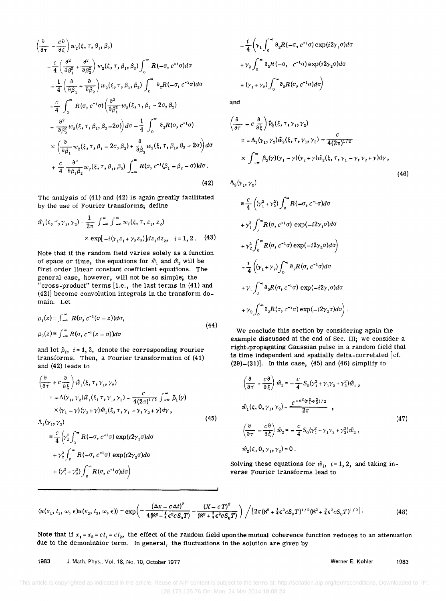$$
\frac{\partial}{\partial \tau} - \frac{c\partial}{\partial \xi} w_2(\xi, \tau, \beta_1, \beta_2)
$$
\n
$$
= \frac{c}{4} \left( \frac{\partial^2}{\partial \beta_1^2} + \frac{\partial^2}{\partial \beta_2^2} \right) w_2(\xi, \tau, \beta_1, \beta_2) \int_0^\infty R(-\sigma, c^{-1}\sigma) d\sigma
$$
\n
$$
- \frac{1}{4} \left( \frac{\partial}{\partial \beta_1} + \frac{\partial}{\partial \beta_2} \right) w_2(\xi, \tau, \beta_1, \beta_2) \int_0^\infty \partial_z R(-\sigma, c^{-1}\sigma) d\sigma
$$
\n
$$
+ \frac{c}{4} \int_0^\infty R(\sigma, c^{-1}\sigma) \left( \frac{\partial^2}{\partial \beta_1^2} w_2(\xi, \tau, \beta_1 - 2\sigma, \beta_2) \right)
$$
\n
$$
+ \frac{\partial^2}{\partial \beta_2^2} w_2(\xi, \tau, \beta_1, \beta_2 - 2\sigma) \right) d\sigma - \frac{1}{4} \int_0^\infty \partial_z R(\sigma, c^{-1}\sigma)
$$
\n
$$
\times \left( \frac{\partial}{\partial \beta_1} w_2(\xi, \tau, \beta_1 - 2\sigma, \beta_2) + \frac{\partial}{\partial \beta_2} w_2(\xi, \tau, \beta_1, \beta_2 - 2\sigma) \right) d\sigma
$$
\n
$$
+ \frac{c}{4} \frac{\partial^2}{\partial \beta_1 \beta_2} w_2(\xi, \tau, \beta_1, \beta_2) \int_{-\infty}^\infty R(\sigma, c^{-1}(\beta_1 - \beta_2 - \sigma)) d\sigma.
$$
\n(42)

The analysis of (41) and (42) is again greatly facilitated by the use of Fourier transforms; define

$$
\hat{w}_i(\xi, \tau, \gamma_1, \gamma_2) = \frac{1}{2\pi} \int_{-\infty}^{\infty} \int_{-\infty}^{\infty} w_i(\xi, \tau, z_1, z_2)
$$
  
× exp[-*i*( $\gamma_1 z_1 + \gamma_2 z_2$ )]*dz*<sub>1</sub>*dz*<sub>2</sub>, *i* = 1, 2. (43)

Note that if the random field varies solely as a function of space or time, the equations for  $\hat{w}_1$  and  $\hat{w}_2$  will be first order linear constant coefficient equations. The general case, however, will not be so Simple; the "cross-product" terms  $[i.e.,$  the last terms in  $(41)$  and (42)] become convolution integrals in the transform domain. Let

$$
\rho_1(z) \equiv \int_{-\infty}^{\infty} R(\sigma, c^{-1}(\sigma - z)) d\sigma,
$$
  
\n
$$
\rho_2(z) \equiv \int_{-\infty}^{\infty} R(\sigma, c^{-1}(z - \sigma)) d\sigma
$$
\n(44)

and let  $\hat{p}_i$ ,  $i = 1, 2$ , denote the corresponding Fourier transforms. Then, a Fourier transformation of (41) and (42) leads to

$$
\begin{aligned}\n&\left(\frac{\partial}{\partial \tau} + c \frac{\partial}{\partial \xi}\right) \hat{w}_1(\xi, \tau, \gamma_1, \gamma_2) \\
&= -\Lambda(\gamma_1, \gamma_2) \hat{w}_1(\xi, \tau, \gamma_1, \gamma_2) - \frac{c}{4(2\pi)^{1/2}} \int_{-\infty}^{\infty} \hat{\rho}_1(\gamma) \\
&\times (\gamma_1 - \gamma) (\gamma_2 + \gamma) \hat{w}_1(\xi, \tau, \gamma_1 - \gamma, \gamma_2 + \gamma) d\gamma, \\
&\Lambda_1(\gamma_1, \gamma_2) \\
&= \frac{c}{4} \left(\gamma_1^2 \int_0^{\infty} R(-\sigma, c^{-1}\sigma) \exp(i2\gamma_1 \sigma) d\sigma \\
&+ \gamma_2^2 \int_0^{\infty} R(-\sigma, c^{-1}\sigma) \exp(i2\gamma_2 \sigma) d\sigma \\
&+ (\gamma_1^2 + \gamma_2^2) \int_0^{\infty} R(\sigma, c^{-1}\sigma) d\sigma\n\end{aligned}
$$
\n(45)

$$
-\frac{i}{4}\left(\gamma_1\int_0^\infty \partial_2 R(-\sigma, c^{-1}\sigma) \exp(i2\gamma_1\sigma)d\sigma
$$

$$
+\gamma_2\int_0^\infty \partial_2 R(-\sigma, c^{-1}\sigma) \exp(i2\gamma_2\sigma)d\sigma
$$

$$
+(\gamma_1+\gamma_2)\int_0^\infty \partial_2 R(\sigma, c^{-1}\sigma)d\sigma\right)
$$

and

$$
\left(\frac{\partial}{\partial \tau} - c \frac{\partial}{\partial \xi}\right) \hat{u}_2(\xi, \tau, \gamma_1, \gamma_2)
$$
\n
$$
= -\Lambda_2(\gamma_1, \gamma_2) \hat{u}_2(\xi, \tau, \gamma_1, \gamma_2) - \frac{c}{4(2\pi)^{1/2}}
$$
\n
$$
\times \int_{-\infty}^{\infty} \hat{\rho}_2(\gamma)(\gamma_1 - \gamma)(\gamma_2 + \gamma) \hat{u}_2(\xi, \tau, \gamma_1 - \gamma, \gamma_2 + \gamma) d\gamma,
$$
\n(46)

 $\Lambda_2(\gamma_1, \gamma_2)$ 

$$
\begin{split}\n&= \frac{c}{4} \left( (\gamma_1^2 + \gamma_2^2) \int_0^\infty R(-\sigma, c^{-1}\sigma) d\sigma \\
&+ \gamma_1^2 \int_0^\infty R(\sigma, c^{-1}\sigma) \exp(-i2\gamma_1\sigma) d\sigma \\
&+ \gamma_2^2 \int_0^\infty R(\sigma, c^{-1}\sigma) \exp(-i2\gamma_2\sigma) d\sigma \\
&+ \frac{i}{4} \left( (\gamma_1 + \gamma_2) \int_0^\infty \partial_2 R(\sigma, c^{-1}\sigma) d\sigma \\
&+ \gamma_1 \int_0^\infty \partial_2 R(\sigma, c^{-1}\sigma) \exp(-i2\gamma_1\sigma) d\sigma \\
&+ \gamma_2 \int_0^\infty \partial_2 R(\sigma, c^{-1}\sigma) \exp(-i2\gamma_2\sigma) d\sigma \right).\n\end{split}
$$

We conclude this section by considering again the example discussed at the end of Sec. III; we consider a right-propagating Gaussian pulse in a random field that is time independent and spatially delta-correlated [cf.  $(29)-(31)$ . In this case,  $(45)$  and  $(46)$  simplify to

$$
\left(\frac{\partial}{\partial \tau} + \frac{c\partial}{\partial \xi}\right)\hat{w}_1 = -\frac{c}{4}S_0(\gamma_1^2 + \gamma_1\gamma_2 + \gamma_2^2)\hat{w}_1,
$$
\n
$$
\hat{w}_1(\xi, 0, \gamma_1, \gamma_2) = \frac{e^{-\kappa^2(\gamma_1^2 + \gamma_2^2)/2}}{2\pi},
$$
\n
$$
\left(\frac{\partial}{\partial \tau} - \frac{c\partial}{\partial \xi}\right)\hat{w}_2 = -\frac{c}{4}S_0(\gamma_1^2 + \gamma_1\gamma_2 + \gamma_2^2)\hat{w}_2,
$$
\n
$$
\hat{w}_2(\xi, 0, \gamma_1, \gamma_2) = 0.
$$
\n(47)

Solving these equations for  $\hat{w}_i$ ,  $i = 1, 2$ , and taking inverse Fourier transforms lead to

$$
\langle u(x_1, t_1, \omega, \epsilon) u(x_2, t_2, \omega, \epsilon) \rangle \sim \exp\left(-\frac{(\Delta x - c\Delta t)^2}{4(k^2 + \frac{1}{4}\epsilon^2 c S_0 T)} - \frac{(X - cT)^2}{(k^2 + \frac{3}{4}\epsilon^2 c S_0 T)}\right) / [2\pi (k^2 + \frac{1}{4}\epsilon^2 c S_0 T)^{1/2} (k^2 + \frac{3}{4}\epsilon^2 c S_0 T)^{1/2}].
$$
 (48)

Note that if  $x_1 = x_2 = ct_1 = ct_2$ , the effect of the random field upon the mutual coherence function reduces to an attenuation due to the demoninator term. In general, the fluctuations in the solution are given by

1983 J. Math. Phys., Vol. 18, No. 10, October 1977 Werner E. Kohler 1983